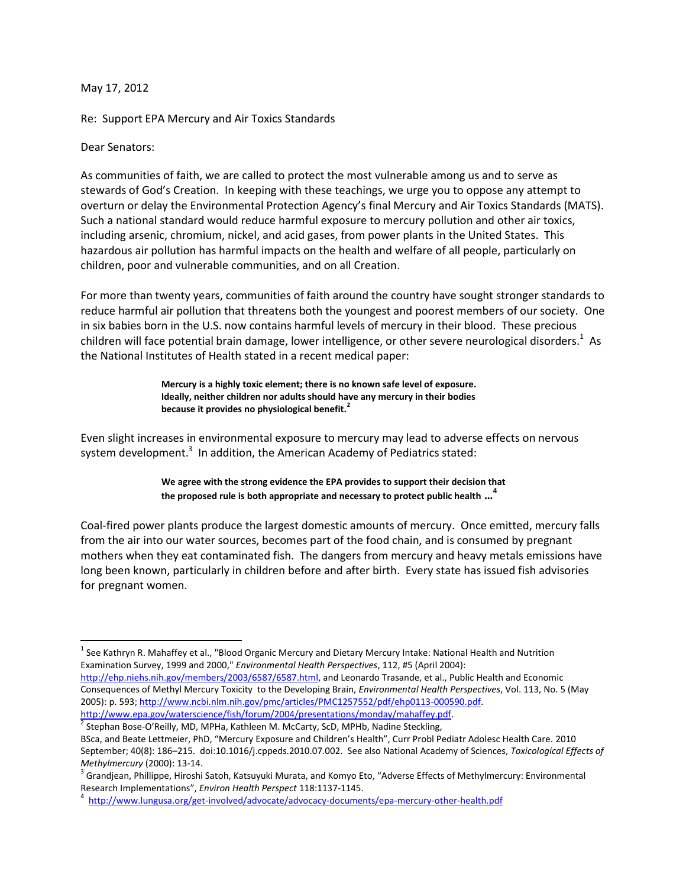## May 17, 2012

Re: Support EPA Mercury and Air Toxics Standards

## Dear Senators:

l

As communities of faith, we are called to protect the most vulnerable among us and to serve as stewards of God's Creation. In keeping with these teachings, we urge you to oppose any attempt to overturn or delay the Environmental Protection Agency's final Mercury and Air Toxics Standards (MATS). Such a national standard would reduce harmful exposure to mercury pollution and other air toxics, including arsenic, chromium, nickel, and acid gases, from power plants in the United States. This hazardous air pollution has harmful impacts on the health and welfare of all people, particularly on children, poor and vulnerable communities, and on all Creation.

For more than twenty years, communities of faith around the country have sought stronger standards to reduce harmful air pollution that threatens both the youngest and poorest members of our society. One in six babies born in the U.S. now contains harmful levels of mercury in their blood. These precious children will face potential brain damage, lower intelligence, or other severe neurological disorders.<sup>1</sup> As the National Institutes of Health stated in a recent medical paper:

> **Mercury is a highly toxic element; there is no known safe level of exposure. Ideally, neither children nor adults should have any mercury in their bodies because it provides no physiological benefit.<sup>2</sup>**

Even slight increases in environmental exposure to mercury may lead to adverse effects on nervous system development.<sup>3</sup> In addition, the American Academy of Pediatrics stated:

> **We agree with the strong evidence the EPA provides to support their decision that the proposed rule is both appropriate and necessary to protect public health … 4**

Coal-fired power plants produce the largest domestic amounts of mercury. Once emitted, mercury falls from the air into our water sources, becomes part of the food chain, and is consumed by pregnant mothers when they eat contaminated fish. The dangers from mercury and heavy metals emissions have long been known, particularly in children before and after birth. Every state has issued fish advisories for pregnant women.

 $^1$  See Kathryn R. Mahaffey et al., "Blood Organic Mercury and Dietary Mercury Intake: National Health and Nutrition Examination Survey, 1999 and 2000," *Environmental Health Perspectives*, 112, #5 (April 2004): [http://ehp.niehs.nih.gov/members/2003/6587/6587.html,](http://ehp.niehs.nih.gov/members/2003/6587/6587.html) and Leonardo Trasande, et al., Public Health and Economic

Consequences of Methyl Mercury Toxicity to the Developing Brain, *Environmental Health Perspectives*, Vol. 113, No. 5 (May 2005): p. 593[; http://www.ncbi.nlm.nih.gov/pmc/articles/PMC1257552/pdf/ehp0113-000590.pdf.](http://www.ncbi.nlm.nih.gov/pmc/articles/PMC1257552/pdf/ehp0113-000590.pdf)  [http://www.epa.gov/waterscience/fish/forum/2004/presentations/monday/mahaffey.pdf.](http://www.epa.gov/waterscience/fish/forum/2004/presentations/monday/mahaffey.pdf)

<sup>2</sup> Stephan Bose-O'Reilly, MD, MPHa, Kathleen M. McCarty, ScD, MPHb, Nadine Steckling, BSca, and Beate Lettmeier, PhD, "Mercury Exposure and Children's Health", Curr Probl Pediatr Adolesc Health Care. 2010 September; 40(8): 186–215. doi:10.1016/j.cppeds.2010.07.002. See also National Academy of Sciences, *Toxicological Effects of Methylmercury* (2000): 13-14.

<sup>3</sup> Grandjean, Phillippe, Hiroshi Satoh, Katsuyuki Murata, and Komyo Eto, "Adverse Effects of Methylmercury: Environmental Research Implementations", *Environ Health Perspect* 118:1137-1145.

<sup>&</sup>lt;sup>4</sup><http://www.lungusa.org/get-involved/advocate/advocacy-documents/epa-mercury-other-health.pdf>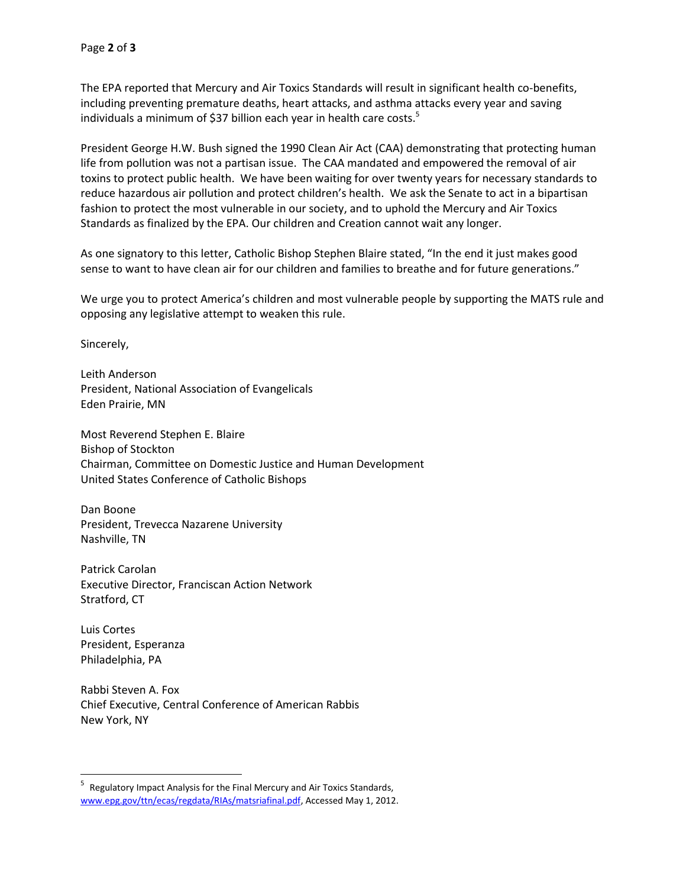The EPA reported that Mercury and Air Toxics Standards will result in significant health co-benefits, including preventing premature deaths, heart attacks, and asthma attacks every year and saving individuals a minimum of \$37 billion each year in health care costs.<sup>5</sup>

President George H.W. Bush signed the 1990 Clean Air Act (CAA) demonstrating that protecting human life from pollution was not a partisan issue. The CAA mandated and empowered the removal of air toxins to protect public health. We have been waiting for over twenty years for necessary standards to reduce hazardous air pollution and protect children's health. We ask the Senate to act in a bipartisan fashion to protect the most vulnerable in our society, and to uphold the Mercury and Air Toxics Standards as finalized by the EPA. Our children and Creation cannot wait any longer.

As one signatory to this letter, Catholic Bishop Stephen Blaire stated, "In the end it just makes good sense to want to have clean air for our children and families to breathe and for future generations."

We urge you to protect America's children and most vulnerable people by supporting the MATS rule and opposing any legislative attempt to weaken this rule.

Sincerely,

Leith Anderson President, National Association of Evangelicals Eden Prairie, MN

Most Reverend Stephen E. Blaire Bishop of Stockton Chairman, Committee on Domestic Justice and Human Development United States Conference of Catholic Bishops

Dan Boone President, Trevecca Nazarene University Nashville, TN

Patrick Carolan Executive Director, Franciscan Action Network Stratford, CT

Luis Cortes President, Esperanza Philadelphia, PA

Rabbi Steven A. Fox Chief Executive, Central Conference of American Rabbis New York, NY

<sup>-&</sup>lt;br>5 Regulatory Impact Analysis for the Final Mercury and Air Toxics Standards, [www.epg.gov/ttn/ecas/regdata/RIAs/matsriafinal.pdf,](http://www.epg.gov/ttn/ecas/regdata/RIAs/matsriafinal.pdf) Accessed May 1, 2012.